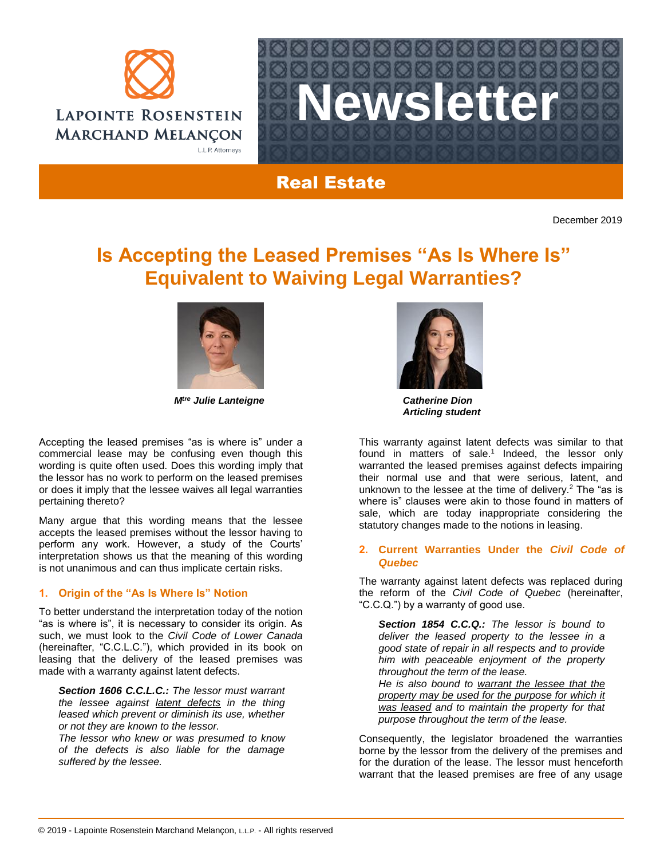



# Real Estate

December 2019

# **Is Accepting the Leased Premises "As Is Where Is" Equivalent to Waiving Legal Warranties?**



*Mtre Julie Lanteigne Catherine Dion*

Accepting the leased premises "as is where is" under a commercial lease may be confusing even though this wording is quite often used. Does this wording imply that the lessor has no work to perform on the leased premises or does it imply that the lessee waives all legal warranties pertaining thereto?

Many argue that this wording means that the lessee accepts the leased premises without the lessor having to perform any work. However, a study of the Courts' interpretation shows us that the meaning of this wording is not unanimous and can thus implicate certain risks.

### **1. Origin of the "As Is Where Is" Notion**

To better understand the interpretation today of the notion "as is where is", it is necessary to consider its origin. As such, we must look to the *Civil Code of Lower Canada* (hereinafter, "C.C.L.C."), which provided in its book on leasing that the delivery of the leased premises was made with a warranty against latent defects.

*Section 1606 C.C.L.C.: The lessor must warrant the lessee against latent defects in the thing leased which prevent or diminish its use, whether or not they are known to the lessor.*

*The lessor who knew or was presumed to know of the defects is also liable for the damage suffered by the lessee.*



*Articling student*

This warranty against latent defects was similar to that found in matters of sale.<sup>1</sup> Indeed, the lessor only warranted the leased premises against defects impairing their normal use and that were serious, latent, and unknown to the lessee at the time of delivery.<sup>2</sup> The "as is where is" clauses were akin to those found in matters of sale, which are today inappropriate considering the statutory changes made to the notions in leasing.

#### **2. Current Warranties Under the** *Civil Code of Quebec*

The warranty against latent defects was replaced during the reform of the *Civil Code of Quebec* (hereinafter, "C.C.Q.") by a warranty of good use.

*Section 1854 C.C.Q.: The lessor is bound to deliver the leased property to the lessee in a good state of repair in all respects and to provide him with peaceable enjoyment of the property throughout the term of the lease. He is also bound to warrant the lessee that the property may be used for the purpose for which it was leased and to maintain the property for that purpose throughout the term of the lease.*

Consequently, the legislator broadened the warranties borne by the lessor from the delivery of the premises and for the duration of the lease. The lessor must henceforth warrant that the leased premises are free of any usage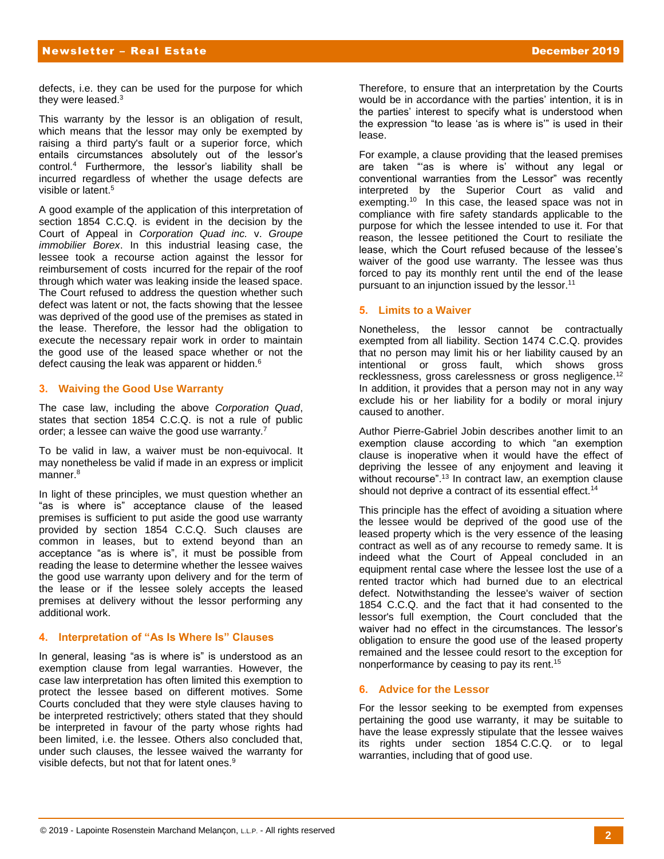defects, i.e. they can be used for the purpose for which they were leased.<sup>3</sup>

This warranty by the lessor is an obligation of result, which means that the lessor may only be exempted by raising a third party's fault or a superior force, which entails circumstances absolutely out of the lessor's control.<sup>4</sup> Furthermore, the lessor's liability shall be incurred regardless of whether the usage defects are visible or latent.<sup>5</sup>

A good example of the application of this interpretation of section 1854 C.C.Q. is evident in the decision by the Court of Appeal in *Corporation Quad inc.* v. *Groupe immobilier Borex*. In this industrial leasing case, the lessee took a recourse action against the lessor for reimbursement of costs incurred for the repair of the roof through which water was leaking inside the leased space. The Court refused to address the question whether such defect was latent or not, the facts showing that the lessee was deprived of the good use of the premises as stated in the lease. Therefore, the lessor had the obligation to execute the necessary repair work in order to maintain the good use of the leased space whether or not the defect causing the leak was apparent or hidden.<sup>6</sup>

#### **3. Waiving the Good Use Warranty**

The case law, including the above *Corporation Quad*, states that section 1854 C.C.Q. is not a rule of public order; a lessee can waive the good use warranty.<sup>7</sup>

To be valid in law, a waiver must be non-equivocal. It may nonetheless be valid if made in an express or implicit manner.<sup>8</sup>

In light of these principles, we must question whether an "as is where is" acceptance clause of the leased premises is sufficient to put aside the good use warranty provided by section 1854 C.C.Q. Such clauses are common in leases, but to extend beyond than an acceptance "as is where is", it must be possible from reading the lease to determine whether the lessee waives the good use warranty upon delivery and for the term of the lease or if the lessee solely accepts the leased premises at delivery without the lessor performing any additional work.

### **4. Interpretation of "As Is Where Is" Clauses**

In general, leasing "as is where is" is understood as an exemption clause from legal warranties. However, the case law interpretation has often limited this exemption to protect the lessee based on different motives. Some Courts concluded that they were style clauses having to be interpreted restrictively; others stated that they should be interpreted in favour of the party whose rights had been limited, i.e. the lessee. Others also concluded that, under such clauses, the lessee waived the warranty for visible defects, but not that for latent ones.<sup>9</sup>

Therefore, to ensure that an interpretation by the Courts would be in accordance with the parties' intention, it is in the parties' interest to specify what is understood when the expression "to lease 'as is where is'" is used in their lease.

For example, a clause providing that the leased premises are taken "'as is where is' without any legal or conventional warranties from the Lessor" was recently interpreted by the Superior Court as valid and exempting.<sup>10</sup> In this case, the leased space was not in compliance with fire safety standards applicable to the purpose for which the lessee intended to use it. For that reason, the lessee petitioned the Court to resiliate the lease, which the Court refused because of the lessee's waiver of the good use warranty. The lessee was thus forced to pay its monthly rent until the end of the lease pursuant to an injunction issued by the lessor.<sup>11</sup>

#### **5. Limits to a Waiver**

Nonetheless, the lessor cannot be contractually exempted from all liability. Section 1474 C.C.Q. provides that no person may limit his or her liability caused by an intentional or gross fault, which shows gross recklessness, gross carelessness or gross negligence.<sup>12</sup> In addition, it provides that a person may not in any way exclude his or her liability for a bodily or moral injury caused to another.

Author Pierre-Gabriel Jobin describes another limit to an exemption clause according to which "an exemption clause is inoperative when it would have the effect of depriving the lessee of any enjoyment and leaving it without recourse".<sup>13</sup> In contract law, an exemption clause should not deprive a contract of its essential effect.<sup>14</sup>

This principle has the effect of avoiding a situation where the lessee would be deprived of the good use of the leased property which is the very essence of the leasing contract as well as of any recourse to remedy same. It is indeed what the Court of Appeal concluded in an equipment rental case where the lessee lost the use of a rented tractor which had burned due to an electrical defect. Notwithstanding the lessee's waiver of section 1854 C.C.Q. and the fact that it had consented to the lessor's full exemption, the Court concluded that the waiver had no effect in the circumstances. The lessor's obligation to ensure the good use of the leased property remained and the lessee could resort to the exception for nonperformance by ceasing to pay its rent.<sup>15</sup>

#### **6. Advice for the Lessor**

For the lessor seeking to be exempted from expenses pertaining the good use warranty, it may be suitable to have the lease expressly stipulate that the lessee waives its rights under section 1854 C.C.Q. or to legal warranties, including that of good use.